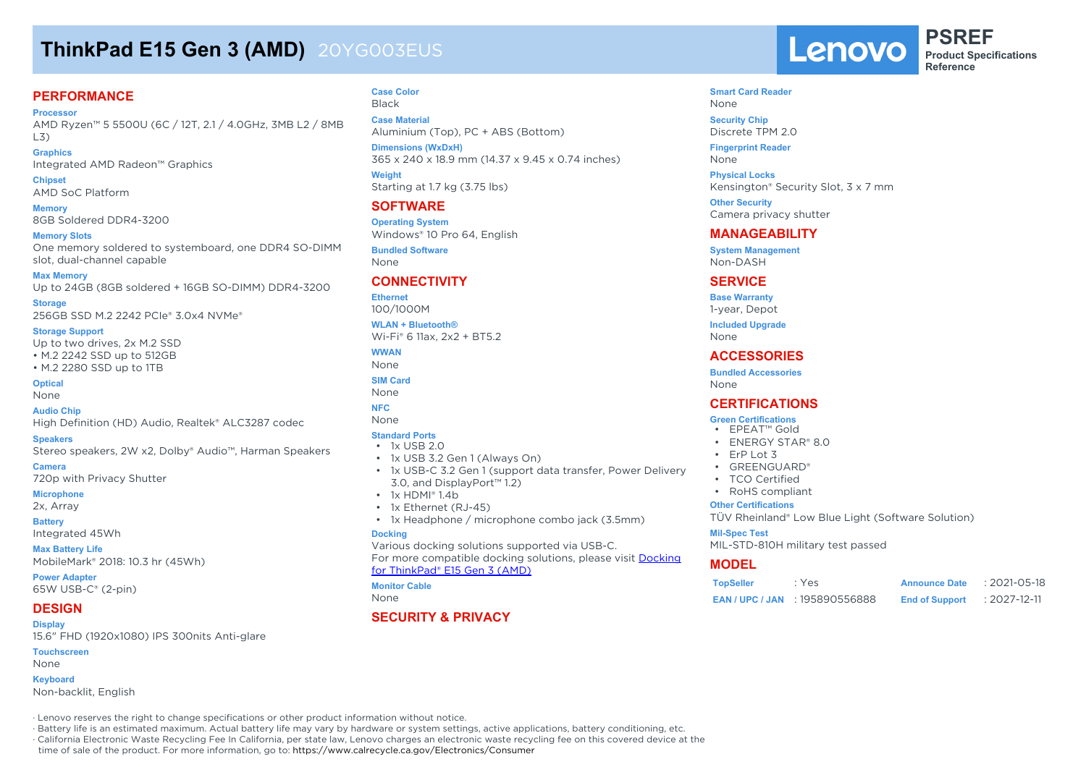# **ThinkPad E15 Gen 3 (AMD)** 20YG003EUS

## **PERFORMANCE**

**Processor**

AMD Ryzen™ 5 5500U (6C / 12T, 2.1 / 4.0GHz, 3MB L2 / 8MB L3)

## **Graphics**

Integrated AMD Radeon™ Graphics

#### **Chipset**

AMD SoC Platform

## **Memory**

8GB Soldered DDR4-3200

#### **Memory Slots**

One memory soldered to systemboard, one DDR4 SO-DIMM slot, dual-channel capable

#### **Max Memory**

Up to 24GB (8GB soldered + 16GB SO-DIMM) DDR4-3200

### **Storage**

256GB SSD M.2 2242 PCIe® 3.0x4 NVMe®

#### **Storage Support**

Up to two drives, 2x M.2 SSD • M.2 2242 SSD up to 512GB

• M.2 2280 SSD up to 1TB

### **Optical**

None

#### **Audio Chip**

High Definition (HD) Audio, Realtek® ALC3287 codec

#### **Speakers**

Stereo speakers, 2W x2, Dolby® Audio™, Harman Speakers

#### **Camera**

720p with Privacy Shutter

## **Microphone**

2x, Array

#### **Battery** Integrated 45Wh

**Max Battery Life** MobileMark® 2018: 10.3 hr (45Wh)

**Power Adapter** 65W USB-C® (2-pin)

#### **DESIGN Display**

15.6" FHD (1920x1080) IPS 300nits Anti-glare **Touchscreen**

### None

## **Keyboard**

Non-backlit, English

#### **Case Color** Black

**Case Material** Aluminium (Top), PC + ABS (Bottom)

**Dimensions (WxDxH)** 365 x 240 x 18.9 mm (14.37 x 9.45 x 0.74 inches) **Weight** Starting at 1.7 kg (3.75 lbs)

## **SOFTWARE**

**Operating System** Windows® 10 Pro 64, English **Bundled Software**

None

## **CONNECTIVITY**

#### **Ethernet**

100/1000M

**WLAN + Bluetooth®** Wi-Fi® 6 11ax, 2x2 + BT5.2

**WWAN**

- None **SIM Card**
- None

## **NFC**

None

#### **Standard Ports**

#### • 1x USB 2.0

- 1x USB 3.2 Gen 1 (Always On)
- 1x USB-C 3.2 Gen 1 (support data transfer, Power Delivery 3.0, and DisplayPort™ 1.2)
- 1x HDMI® 1.4b
- 1x Ethernet (RJ-45)
- 1x Headphone / microphone combo jack (3.5mm)

#### **Docking**

Various docking solutions supported via USB-C. For more compatible docking solutions, please visit Docking for ThinkPad® E15 Gen 3 (AMD)

#### **Monitor Cable**

None

## **SECURITY & PRIVACY**

Lenovo

**PSREF Product Specifications Reference**

#### **Smart Card Reader** None **Security Chip**

Discrete TPM 2.0

**Fingerprint Reader** None

**Physical Locks** Kensington® Security Slot, 3 x 7 mm

**Other Security** Camera privacy shutter

## **MANAGEABILITY**

**System Management** Non-DASH

## **SERVICE**

**Base Warranty** 1-year, Depot

**Included Upgrade**

None

## **ACCESSORIES**

**Bundled Accessories** None

## **CERTIFICATIONS**

#### **Green Certifications**

- EPEAT™ Gold
- ENERGY STAR® 8.0
- ErP Lot 3
- GREENGUARD®
- TCO Certified
- RoHS compliant

#### **Other Certifications**

TÜV Rheinland® Low Blue Light (Software Solution)

#### **Mil-Spec Test**

MIL-STD-810H military test passed

## **MODEL**

| <b>TopSeller</b> | : Yes                             | <b>Announce Date</b>  | $: 2021 - 05 - 18$ |
|------------------|-----------------------------------|-----------------------|--------------------|
|                  | <b>EAN/UPC/JAN : 195890556888</b> | <b>End of Support</b> | : 2027-12-11       |

· Lenovo reserves the right to change specifications or other product information without notice.

· Battery life is an estimated maximum. Actual battery life may vary by hardware or system settings, active applications, battery conditioning, etc.

· California Electronic Waste Recycling Fee In California, per state law, Lenovo charges an electronic waste recycling fee on this covered device at the

time of sale of the product. For more information, go to: https://www.calrecycle.ca.gov/Electronics/Consumer